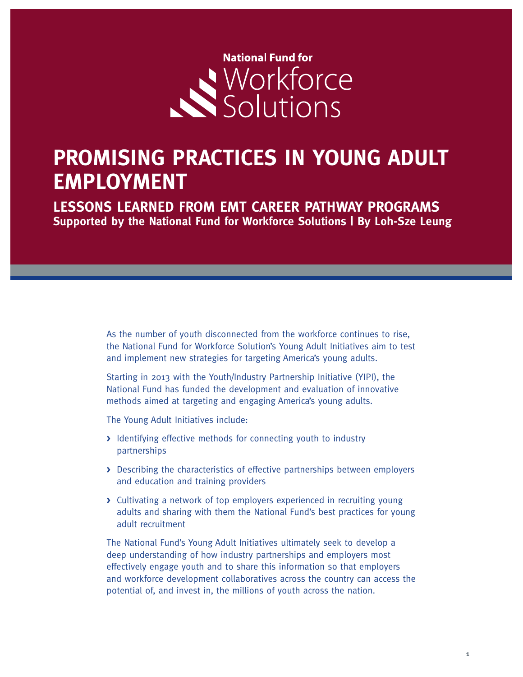

# **PROMISING PRACTICES IN YOUNG ADULT EMPLOYMENT**

**LESSONS LEARNED FROM EMT CAREER PATHWAY PROGRAMS Supported by the National Fund for Workforce Solutions | By Loh-Sze Leung**

> As the number of youth disconnected from the workforce continues to rise, the National Fund for Workforce Solution's Young Adult Initiatives aim to test and implement new strategies for targeting America's young adults.

Starting in 2013 with the Youth/Industry Partnership Initiative (YIPI), the National Fund has funded the development and evaluation of innovative methods aimed at targeting and engaging America's young adults.

The Young Adult Initiatives include:

- **>** Identifying effective methods for connecting youth to industry partnerships
- **>** Describing the characteristics of effective partnerships between employers and education and training providers
- **>** Cultivating a network of top employers experienced in recruiting young adults and sharing with them the National Fund's best practices for young adult recruitment

The National Fund's Young Adult Initiatives ultimately seek to develop a deep understanding of how industry partnerships and employers most effectively engage youth and to share this information so that employers and workforce development collaboratives across the country can access the potential of, and invest in, the millions of youth across the nation.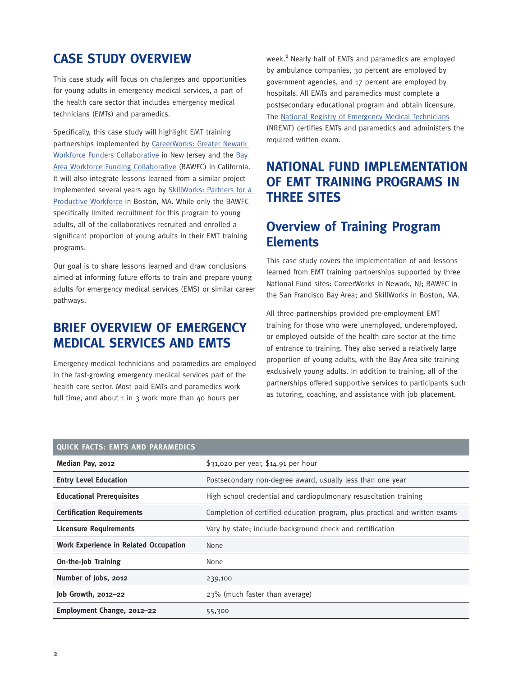# **CASE STUDY OVERVIEW**

This case study will focus on challenges and opportunities for young adults in emergency medical services, a part of the health care sector that includes emergency medical technicians (EMTs) and paramedics.

Specifically, this case study will highlight EMT training partnerships implemented by [CareerWorks: Greater Newark](http://www.nfwsolutions.org/regional-collaboratives/careerworks-greater-newark-workforce-funders-collaborative)  [Workforce Funders Collaborative](http://www.nfwsolutions.org/regional-collaboratives/careerworks-greater-newark-workforce-funders-collaborative) in New Jersey and the [Bay](http://www.nfwsolutions.org/regional-collaboratives/bay-area-workforce-funding-collaborative)  [Area Workforce Funding Collaborative](http://www.nfwsolutions.org/regional-collaboratives/bay-area-workforce-funding-collaborative) (BAWFC) in California. It will also integrate lessons learned from a similar project implemented several years ago by [SkillWorks: Partners for a](http://www.nfwsolutions.org/regional-collaboratives/skillworks-partners-productive-workforce)  [Productive Workforce](http://www.nfwsolutions.org/regional-collaboratives/skillworks-partners-productive-workforce) in Boston, MA. While only the BAWFC specifically limited recruitment for this program to young adults, all of the collaboratives recruited and enrolled a significant proportion of young adults in their EMT training programs.

Our goal is to share lessons learned and draw conclusions aimed at informing future efforts to train and prepare young adults for emergency medical services (EMS) or similar career pathways.

## **BRIEF OVERVIEW OF EMERGENCY MEDICAL SERVICES AND EMTS**

Emergency medical technicians and paramedics are employed in the fast-growing emergency medical services part of the health care sector. Most paid EMTs and paramedics work full time, and about 1 in 3 work more than 40 hours per

week.**<sup>1</sup>** Nearly half of EMTs and paramedics are employed by ambulance companies, 30 percent are employed by government agencies, and 17 percent are employed by hospitals. All EMTs and paramedics must complete a postsecondary educational program and obtain licensure. The [National Registry of Emergency Medical Technicians](http://www.nremt.org/) (NREMT) certifies EMTs and paramedics and administers the required written exam.

# **NATIONAL FUND IMPLEMENTATION OF EMT TRAINING PROGRAMS IN THREE SITES**

### **Overview of Training Program Elements**

This case study covers the implementation of and lessons learned from EMT training partnerships supported by three National Fund sites: CareerWorks in Newark, NJ; BAWFC in the San Francisco Bay Area; and SkillWorks in Boston, MA.

All three partnerships provided pre-employment EMT training for those who were unemployed, underemployed, or employed outside of the health care sector at the time of entrance to training. They also served a relatively large proportion of young adults, with the Bay Area site training exclusively young adults. In addition to training, all of the partnerships offered supportive services to participants such as tutoring, coaching, and assistance with job placement.

| QUICK FACTS: EMTS AND PARAMEDICS             |                                                                             |
|----------------------------------------------|-----------------------------------------------------------------------------|
| Median Pay, 2012                             | \$31,020 per year, \$14.91 per hour                                         |
| <b>Entry Level Education</b>                 | Postsecondary non-degree award, usually less than one year                  |
| <b>Educational Prerequisites</b>             | High school credential and cardiopulmonary resuscitation training           |
| <b>Certification Requirements</b>            | Completion of certified education program, plus practical and written exams |
| <b>Licensure Requirements</b>                | Vary by state; include background check and certification                   |
| <b>Work Experience in Related Occupation</b> | None                                                                        |
| <b>On-the-Job Training</b>                   | None                                                                        |
| Number of Jobs, 2012                         | 239,100                                                                     |
| Job Growth, 2012-22                          | 23% (much faster than average)                                              |
| Employment Change, 2012-22                   | 55,300                                                                      |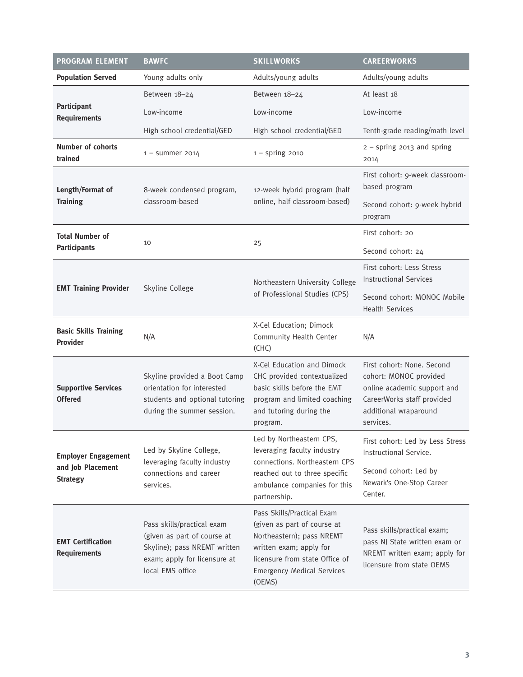| <b>PROGRAM ELEMENT</b>                                             | <b>BAWFC</b>                                                                                                                                  | <b>SKILLWORKS</b>                                                                                                                                                                                  | <b>CAREERWORKS</b>                                                                                                                                      |
|--------------------------------------------------------------------|-----------------------------------------------------------------------------------------------------------------------------------------------|----------------------------------------------------------------------------------------------------------------------------------------------------------------------------------------------------|---------------------------------------------------------------------------------------------------------------------------------------------------------|
| <b>Population Served</b>                                           | Young adults only                                                                                                                             | Adults/young adults                                                                                                                                                                                | Adults/young adults                                                                                                                                     |
|                                                                    | Between 18-24                                                                                                                                 | Between 18-24                                                                                                                                                                                      | At least 18                                                                                                                                             |
| Participant<br><b>Requirements</b>                                 | Low-income                                                                                                                                    | Low-income                                                                                                                                                                                         | Low-income                                                                                                                                              |
|                                                                    | High school credential/GED                                                                                                                    | High school credential/GED                                                                                                                                                                         | Tenth-grade reading/math level                                                                                                                          |
| <b>Number of cohorts</b><br>trained                                | $1 -$ summer 2014                                                                                                                             | $1 -$ spring 2010                                                                                                                                                                                  | $2 -$ spring 2013 and spring<br>2014                                                                                                                    |
| Length/Format of<br><b>Training</b>                                | 8-week condensed program,<br>classroom-based                                                                                                  | 12-week hybrid program (half<br>online, half classroom-based)                                                                                                                                      | First cohort: 9-week classroom-<br>based program                                                                                                        |
|                                                                    |                                                                                                                                               |                                                                                                                                                                                                    | Second cohort: 9-week hybrid<br>program                                                                                                                 |
| <b>Total Number of</b>                                             | 10                                                                                                                                            | 25                                                                                                                                                                                                 | First cohort: 20                                                                                                                                        |
| <b>Participants</b>                                                |                                                                                                                                               |                                                                                                                                                                                                    | Second cohort: 24                                                                                                                                       |
| <b>EMT Training Provider</b>                                       | Skyline College                                                                                                                               | Northeastern University College<br>of Professional Studies (CPS)                                                                                                                                   | First cohort: Less Stress<br><b>Instructional Services</b>                                                                                              |
|                                                                    |                                                                                                                                               |                                                                                                                                                                                                    | Second cohort: MONOC Mobile<br><b>Health Services</b>                                                                                                   |
| <b>Basic Skills Training</b><br><b>Provider</b>                    | N/A                                                                                                                                           | X-Cel Education; Dimock<br>Community Health Center<br>(CHC)                                                                                                                                        | N/A                                                                                                                                                     |
| <b>Supportive Services</b><br><b>Offered</b>                       | Skyline provided a Boot Camp<br>orientation for interested<br>students and optional tutoring<br>during the summer session.                    | X-Cel Education and Dimock<br>CHC provided contextualized<br>basic skills before the EMT<br>program and limited coaching<br>and tutoring during the<br>program.                                    | First cohort: None. Second<br>cohort: MONOC provided<br>online academic support and<br>CareerWorks staff provided<br>additional wraparound<br>services. |
| <b>Employer Engagement</b><br>and Job Placement<br><b>Strategy</b> | Led by Skyline College,<br>leveraging faculty industry<br>connections and career<br>services.                                                 | Led by Northeastern CPS,<br>leveraging faculty industry<br>connections. Northeastern CPS<br>reached out to three specific<br>ambulance companies for this<br>partnership.                          | First cohort: Led by Less Stress<br>Instructional Service.<br>Second cohort: Led by<br>Newark's One-Stop Career<br>Center.                              |
| <b>EMT Certification</b><br><b>Requirements</b>                    | Pass skills/practical exam<br>(given as part of course at<br>Skyline); pass NREMT written<br>exam; apply for licensure at<br>local EMS office | Pass Skills/Practical Exam<br>(given as part of course at<br>Northeastern); pass NREMT<br>written exam; apply for<br>licensure from state Office of<br><b>Emergency Medical Services</b><br>(OEMS) | Pass skills/practical exam;<br>pass NJ State written exam or<br>NREMT written exam; apply for<br>licensure from state OEMS                              |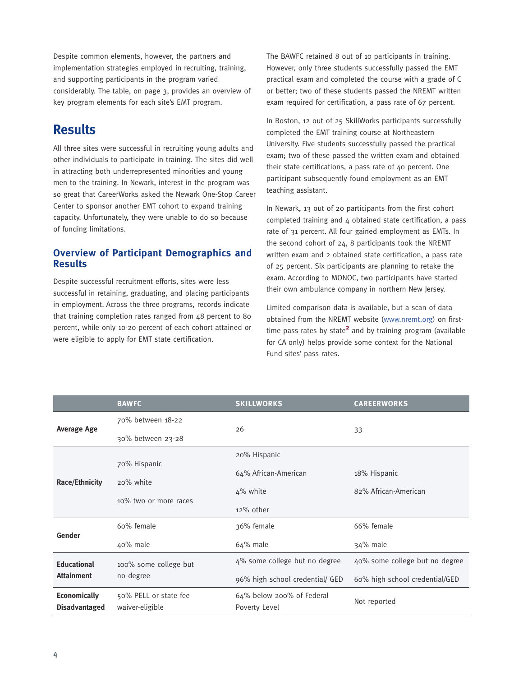Despite common elements, however, the partners and implementation strategies employed in recruiting, training, and supporting participants in the program varied considerably. The table, on page 3, provides an overview of key program elements for each site's EMT program.

### **Results**

All three sites were successful in recruiting young adults and other individuals to participate in training. The sites did well in attracting both underrepresented minorities and young men to the training. In Newark, interest in the program was so great that CareerWorks asked the Newark One-Stop Career Center to sponsor another EMT cohort to expand training capacity. Unfortunately, they were unable to do so because of funding limitations.

### **Overview of Participant Demographics and Results**

Despite successful recruitment efforts, sites were less successful in retaining, graduating, and placing participants in employment. Across the three programs, records indicate that training completion rates ranged from 48 percent to 80 percent, while only 10-20 percent of each cohort attained or were eligible to apply for EMT state certification.

The BAWFC retained 8 out of 10 participants in training. However, only three students successfully passed the EMT practical exam and completed the course with a grade of C or better; two of these students passed the NREMT written exam required for certification, a pass rate of 67 percent.

In Boston, 12 out of 25 SkillWorks participants successfully completed the EMT training course at Northeastern University. Five students successfully passed the practical exam; two of these passed the written exam and obtained their state certifications, a pass rate of 40 percent. One participant subsequently found employment as an EMT teaching assistant.

In Newark, 13 out of 20 participants from the first cohort completed training and 4 obtained state certification, a pass rate of 31 percent. All four gained employment as EMTs. In the second cohort of 24, 8 participants took the NREMT written exam and 2 obtained state certification, a pass rate of 25 percent. Six participants are planning to retake the exam. According to MONOC, two participants have started their own ambulance company in northern New Jersey.

Limited comparison data is available, but a scan of data obtained from the NREMT website [\(www.nremt.org\)](http://www.nremt.org) on firsttime pass rates by state<sup>2</sup> and by training program (available for CA only) helps provide some context for the National Fund sites' pass rates.

|                                             | <b>BAWFC</b>                             | <b>SKILLWORKS</b>                          | <b>CAREERWORKS</b>             |
|---------------------------------------------|------------------------------------------|--------------------------------------------|--------------------------------|
| <b>Average Age</b>                          | 70% between 18-22                        |                                            | 33                             |
|                                             | 30% between 23-28                        | 26                                         |                                |
| <b>Race/Ethnicity</b>                       |                                          | 20% Hispanic                               |                                |
|                                             | 70% Hispanic                             | 64% African-American                       | 18% Hispanic                   |
|                                             | 20% white<br>10% two or more races       | 4% white                                   | 82% African-American           |
|                                             |                                          | 12% other                                  |                                |
| Gender                                      | 60% female                               | 36% female                                 | 66% female                     |
|                                             | 40% male                                 | 64% male                                   | 34% male                       |
| <b>Educational</b><br><b>Attainment</b>     | 100% some college but                    | 4% some college but no degree              | 40% some college but no degree |
|                                             | no degree                                | 96% high school credential/ GED            | 60% high school credential/GED |
| <b>Economically</b><br><b>Disadvantaged</b> | 50% PELL or state fee<br>waiver-eligible | 64% below 200% of Federal<br>Poverty Level | Not reported                   |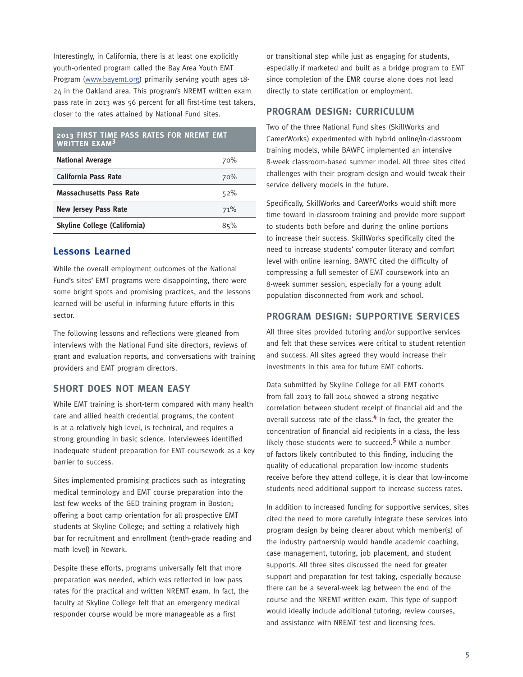Interestingly, in California, there is at least one explicitly youth-oriented program called the Bay Area Youth EMT Program [\(www.bayemt.org](http://www.bayemt.org)) primarily serving youth ages 18- 24 in the Oakland area. This program's NREMT written exam pass rate in 2013 was 56 percent for all first-time test takers, closer to the rates attained by National Fund sites.

#### **2013 FIRST TIME PASS RATES FOR NREMT EMT WRITTEN EXAM<sup>3</sup>**

| <b>National Average</b>             | 70% |
|-------------------------------------|-----|
| <b>California Pass Rate</b>         | 70% |
| <b>Massachusetts Pass Rate</b>      | 52% |
| <b>New Jersey Pass Rate</b>         | 71% |
| <b>Skyline College (California)</b> | 85% |

### **Lessons Learned**

While the overall employment outcomes of the National Fund's sites' EMT programs were disappointing, there were some bright spots and promising practices, and the lessons learned will be useful in informing future efforts in this sector.

The following lessons and reflections were gleaned from interviews with the National Fund site directors, reviews of grant and evaluation reports, and conversations with training providers and EMT program directors.

### **SHORT DOES NOT MEAN EASY**

While EMT training is short-term compared with many health care and allied health credential programs, the content is at a relatively high level, is technical, and requires a strong grounding in basic science. Interviewees identified inadequate student preparation for EMT coursework as a key barrier to success.

Sites implemented promising practices such as integrating medical terminology and EMT course preparation into the last few weeks of the GED training program in Boston; offering a boot camp orientation for all prospective EMT students at Skyline College; and setting a relatively high bar for recruitment and enrollment (tenth-grade reading and math level) in Newark.

Despite these efforts, programs universally felt that more preparation was needed, which was reflected in low pass rates for the practical and written NREMT exam. In fact, the faculty at Skyline College felt that an emergency medical responder course would be more manageable as a first

or transitional step while just as engaging for students, especially if marketed and built as a bridge program to EMT since completion of the EMR course alone does not lead directly to state certification or employment.

#### **PROGRAM DESIGN: CURRICULUM**

Two of the three National Fund sites (SkillWorks and CareerWorks) experimented with hybrid online/in-classroom training models, while BAWFC implemented an intensive 8-week classroom-based summer model. All three sites cited challenges with their program design and would tweak their service delivery models in the future.

Specifically, SkillWorks and CareerWorks would shift more time toward in-classroom training and provide more support to students both before and during the online portions to increase their success. SkillWorks specifically cited the need to increase students' computer literacy and comfort level with online learning. BAWFC cited the difficulty of compressing a full semester of EMT coursework into an 8-week summer session, especially for a young adult population disconnected from work and school.

#### **PROGRAM DESIGN: SUPPORTIVE SERVICES**

All three sites provided tutoring and/or supportive services and felt that these services were critical to student retention and success. All sites agreed they would increase their investments in this area for future EMT cohorts.

Data submitted by Skyline College for all EMT cohorts from fall 2013 to fall 2014 showed a strong negative correlation between student receipt of financial aid and the overall success rate of the class.**<sup>4</sup>** In fact, the greater the concentration of financial aid recipients in a class, the less likely those students were to succeed.**<sup>5</sup>** While a number of factors likely contributed to this finding, including the quality of educational preparation low-income students receive before they attend college, it is clear that low-income students need additional support to increase success rates.

In addition to increased funding for supportive services, sites cited the need to more carefully integrate these services into program design by being clearer about which member(s) of the industry partnership would handle academic coaching, case management, tutoring, job placement, and student supports. All three sites discussed the need for greater support and preparation for test taking, especially because there can be a several-week lag between the end of the course and the NREMT written exam. This type of support would ideally include additional tutoring, review courses, and assistance with NREMT test and licensing fees.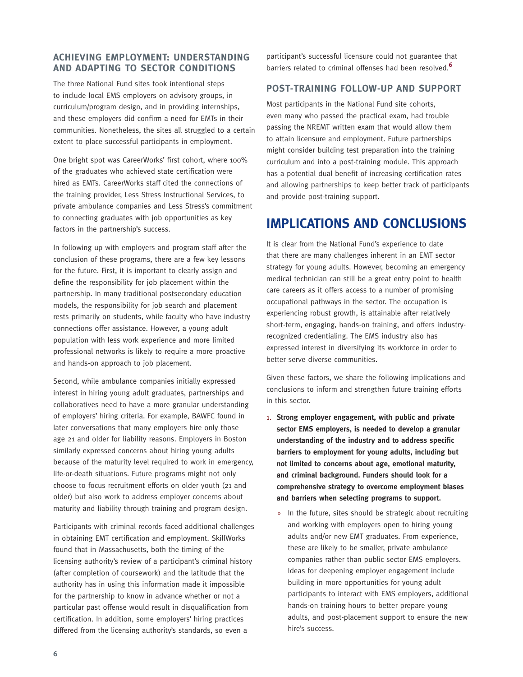### **ACHIEVING EMPLOYMENT: UNDERSTANDING AND ADAPTING TO SECTOR CONDITIONS**

The three National Fund sites took intentional steps to include local EMS employers on advisory groups, in curriculum/program design, and in providing internships, and these employers did confirm a need for EMTs in their communities. Nonetheless, the sites all struggled to a certain extent to place successful participants in employment.

One bright spot was CareerWorks' first cohort, where 100% of the graduates who achieved state certification were hired as EMTs. CareerWorks staff cited the connections of the training provider, Less Stress Instructional Services, to private ambulance companies and Less Stress's commitment to connecting graduates with job opportunities as key factors in the partnership's success.

In following up with employers and program staff after the conclusion of these programs, there are a few key lessons for the future. First, it is important to clearly assign and define the responsibility for job placement within the partnership. In many traditional postsecondary education models, the responsibility for job search and placement rests primarily on students, while faculty who have industry connections offer assistance. However, a young adult population with less work experience and more limited professional networks is likely to require a more proactive and hands-on approach to job placement.

Second, while ambulance companies initially expressed interest in hiring young adult graduates, partnerships and collaboratives need to have a more granular understanding of employers' hiring criteria. For example, BAWFC found in later conversations that many employers hire only those age 21 and older for liability reasons. Employers in Boston similarly expressed concerns about hiring young adults because of the maturity level required to work in emergency, life-or-death situations. Future programs might not only choose to focus recruitment efforts on older youth (21 and older) but also work to address employer concerns about maturity and liability through training and program design.

Participants with criminal records faced additional challenges in obtaining EMT certification and employment. SkillWorks found that in Massachusetts, both the timing of the licensing authority's review of a participant's criminal history (after completion of coursework) and the latitude that the authority has in using this information made it impossible for the partnership to know in advance whether or not a particular past offense would result in disqualification from certification. In addition, some employers' hiring practices differed from the licensing authority's standards, so even a

participant's successful licensure could not guarantee that barriers related to criminal offenses had been resolved.**<sup>6</sup>**

#### **POST-TRAINING FOLLOW-UP AND SUPPORT**

Most participants in the National Fund site cohorts, even many who passed the practical exam, had trouble passing the NREMT written exam that would allow them to attain licensure and employment. Future partnerships might consider building test preparation into the training curriculum and into a post-training module. This approach has a potential dual benefit of increasing certification rates and allowing partnerships to keep better track of participants and provide post-training support.

### **IMPLICATIONS AND CONCLUSIONS**

It is clear from the National Fund's experience to date that there are many challenges inherent in an EMT sector strategy for young adults. However, becoming an emergency medical technician can still be a great entry point to health care careers as it offers access to a number of promising occupational pathways in the sector. The occupation is experiencing robust growth, is attainable after relatively short-term, engaging, hands-on training, and offers industryrecognized credentialing. The EMS industry also has expressed interest in diversifying its workforce in order to better serve diverse communities.

Given these factors, we share the following implications and conclusions to inform and strengthen future training efforts in this sector.

- 1. **Strong employer engagement, with public and private sector EMS employers, is needed to develop a granular understanding of the industry and to address specific barriers to employment for young adults, including but not limited to concerns about age, emotional maturity, and criminal background. Funders should look for a comprehensive strategy to overcome employment biases and barriers when selecting programs to support.**
	- » In the future, sites should be strategic about recruiting and working with employers open to hiring young adults and/or new EMT graduates. From experience, these are likely to be smaller, private ambulance companies rather than public sector EMS employers. Ideas for deepening employer engagement include building in more opportunities for young adult participants to interact with EMS employers, additional hands-on training hours to better prepare young adults, and post-placement support to ensure the new hire's success.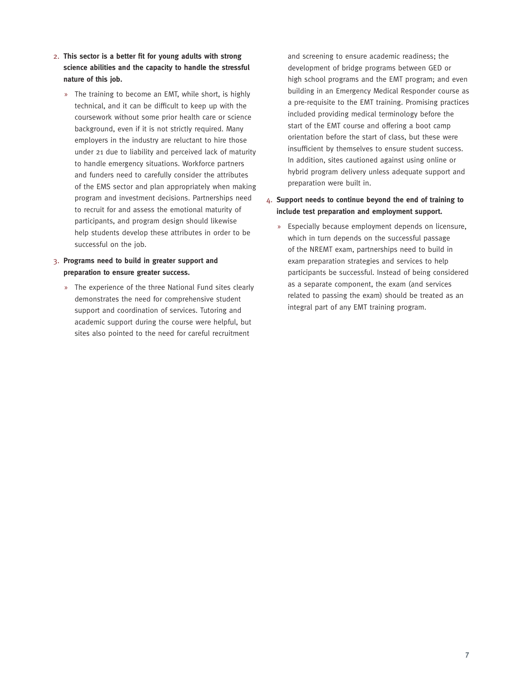- 2. **This sector is a better fit for young adults with strong science abilities and the capacity to handle the stressful nature of this job.** 
	- » The training to become an EMT, while short, is highly technical, and it can be difficult to keep up with the coursework without some prior health care or science background, even if it is not strictly required. Many employers in the industry are reluctant to hire those under 21 due to liability and perceived lack of maturity to handle emergency situations. Workforce partners and funders need to carefully consider the attributes of the EMS sector and plan appropriately when making program and investment decisions. Partnerships need to recruit for and assess the emotional maturity of participants, and program design should likewise help students develop these attributes in order to be successful on the job.
- 3. **Programs need to build in greater support and preparation to ensure greater success.**
	- » The experience of the three National Fund sites clearly demonstrates the need for comprehensive student support and coordination of services. Tutoring and academic support during the course were helpful, but sites also pointed to the need for careful recruitment

and screening to ensure academic readiness; the development of bridge programs between GED or high school programs and the EMT program; and even building in an Emergency Medical Responder course as a pre-requisite to the EMT training. Promising practices included providing medical terminology before the start of the EMT course and offering a boot camp orientation before the start of class, but these were insufficient by themselves to ensure student success. In addition, sites cautioned against using online or hybrid program delivery unless adequate support and preparation were built in.

### 4. **Support needs to continue beyond the end of training to include test preparation and employment support.**

» Especially because employment depends on licensure, which in turn depends on the successful passage of the NREMT exam, partnerships need to build in exam preparation strategies and services to help participants be successful. Instead of being considered as a separate component, the exam (and services related to passing the exam) should be treated as an integral part of any EMT training program.